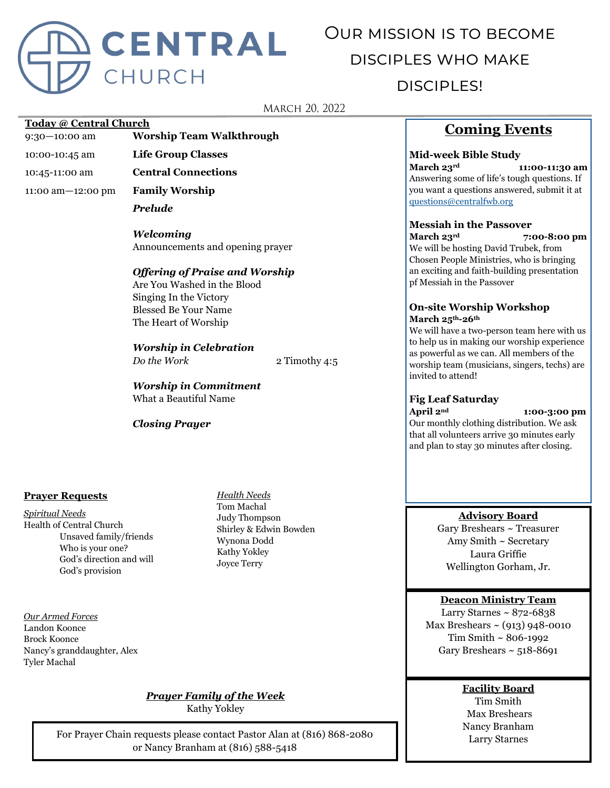

# Our mission is to become disciples who make disciples!

#### **MARCH 20, 2022**

#### **Today @ Central Church**

9:30—10:00 am **Worship Team Walkthrough**

- 10:00-10:45 am **Life Group Classes**
- 10:45-11:00 am **Central Connections**

11:00 am—12:00 pm **Family Worship**

*Prelude*

*Welcoming* Announcements and opening prayer

#### *Offering of Praise and Worship*

Are You Washed in the Blood Singing In the Victory Blessed Be Your Name The Heart of Worship

*Worship in Celebration Do the Work* 2 Timothy 4:5

*Worship in Commitment* What a Beautiful Name

#### *Closing Prayer*

#### **Prayer Requests**

*Spiritual Needs* Health of Central Church Unsaved family/friends Who is your one? God's direction and will God's provision

*Our Armed Forces* Landon Koonce Brock Koonce Nancy's granddaughter, Alex Tyler Machal

*Health Needs* Tom Machal Judy Thompson Shirley & Edwin Bowden Wynona Dodd Kathy Yokley Joyce Terry

## **Coming Events**

#### **Mid-week Bible Study**

**March 23rd 11:00-11:30 am** Answering some of life's tough questions. If you want a questions answered, submit it at [questions@centralfwb.org](mailto:questions@centralfwb.org?subject=My%20Question%20Is)

#### **Messiah in the Passover**

**March 23rd 7:00-8:00 pm** We will be hosting David Trubek, from Chosen People Ministries, who is bringing an exciting and faith-building presentation pf Messiah in the Passover

#### **On-site Worship Workshop March 25th-26th**

We will have a two-person team here with us to help us in making our worship experience as powerful as we can. All members of the worship team (musicians, singers, techs) are invited to attend!

#### **Fig Leaf Saturday**

**April 2nd 1:00-3:00 pm** Our monthly clothing distribution. We ask that all volunteers arrive 30 minutes early and plan to stay 30 minutes after closing.

#### **Advisory Board**

Gary Breshears ~ Treasurer Amy Smith ~ Secretary Laura Griffie Wellington Gorham, Jr.

#### **Deacon Ministry Team**

Larry Starnes  $\sim 872 - 6838$ Max Breshears  $\sim$  (913) 948-0010 Tim Smith ~ 806-1992 Gary Breshears  $\sim$  518-8691

### **Facility Board**

Tim Smith Max Breshears Nancy Branham Larry Starnes

## *Prayer Family of the Week*

Kathy Yokley

For Prayer Chain requests please contact Pastor Alan at (816) 868-2080 or Nancy Branham at (816) 588-5418